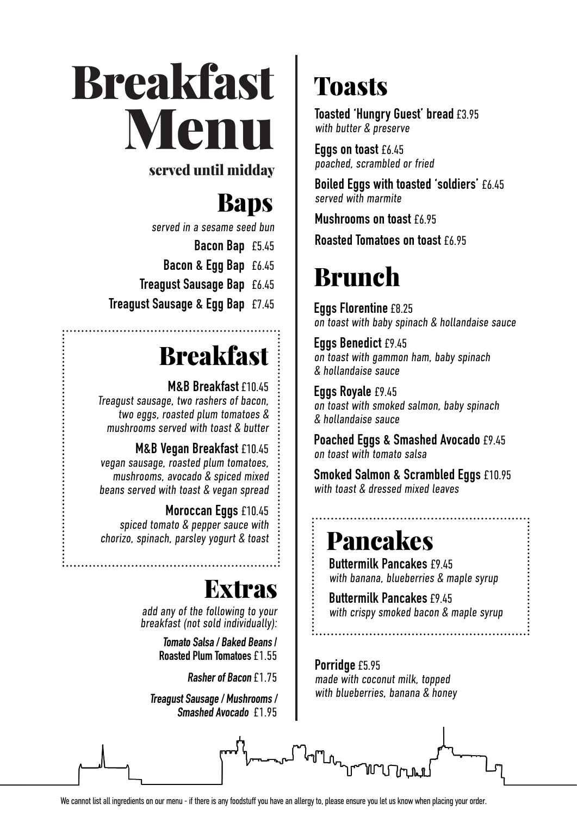**Breakfast**<br>Menu **Example 18**<br>Served until midda Menu

### served until midday

## *Spanish, North African &*  Baps

*Middle Eastern inspired* served in a sesame seed bun

**Bacon Bap** £5.45

- **Bacon & Egg Bap** £6.45
- **Treagust Sausage Bap** £6.45

Smaller Bites **Treagust Sausage & Egg Bap** £7.45

## **Hot Brindisa Chorizo** £2.95 Breakfast

**M&B Breakfast** £10.45 Treagust sausage, two rashers of **bacon**, **Harissa & Red Pepper** £3.75 mushrooms served with toast & butter two eggs, roasted plum tomatoes &

**Beetroot Borani, Feta, Walnuts & Dill** £3.75 **M&B Vegan Breakfast** £10.45 vegan sausage, roasted plum tomatoes, **Plate of Marinated Anchovies** £3.95 beans served with toast & vegan spread mushrooms, avocado & spiced mixed

**Spanish Sweet Onion & Potato Tortilla** £3.95 **Moroccan Eggs** £10.45 chorizo, spinach, parsley yogurt & toast<br>. spiced tomato & pepper sauce with

'little' toasts with tomato & garlic oil

## **Extras**

add any of the following to **v** breakfast (not sold individual add any of the following to your breakfast (not sold individually):

**Tomato Salsa / Baked Beans / Roasted Plum Tomatoes** £1.55

**Rasher of Bacon** £1.75

**Treagust Sausage / Mushrooms / Smashed Avocado** £1.95

# **Toasts**

**Toasted 'Hungry Guest' bread £3.95** with butter  $&$  preserve

**Eggs on toast £6.45** poached, scrambled or fried

**Boiled Eggs with toasted 'soldiers'** £6.45 served with marmite

**Mushrooms on toast £6.95** 

 $\mathbf{w}$  with preserved lemon  $\mathbf{w}$ **Roasted Tomatoes on toast** £6.95

### **DI UNICII**  $\mathbf{D}_{\text{max}}$ Brunch

**Eggs Florentine** £8.25 **Critical Enterormance Serversity** Crisps on toast with baby spinach & hollandaise sauce

with lemon and sumaching the sumaching sumatrices and sumatrices are aligned as a summary summary summary summary summary summary summary summary summary summary summary summary summary summary summary summary summary summ **Whole Person Entity Change Person**<br>on toast with gammon ham, baby spinach  $\&$  hollandaise sauce **Eggs Benedict** £9.45

**Eggs Royale** £9.45 eggo nogae and corn pure salmon, baby spinach & hollandaise sauce

**Patatas Bravas** £4.95 on toast with tomato salsa **Poached Eggs & Smashed Avocado** £9.45

**Smoked Salmon & Scrambled Eggs £10.95** with toast & dressed mixed leaves<br>

### **Sauteed Purple Sprouting Broccoli** £4.95 **Pancakes**

 $\vdots$  **Buttermilk Pancakes** £9.45  $\vdots$  with banana, blueberries & maple syrup

**Roasted Sweet Potato** £5.45 **Buttermilk Pancakes** £9.45  $\vdots$  with crispy smoked bacon & maple syrup

**Porridge** £5.95 made with coconut milk, topped with blueberries, banana & honey



We cannot list all ingredients on our menu - if there is any foodstuff you have an allergy to, please ensure you let us know when placing your order.